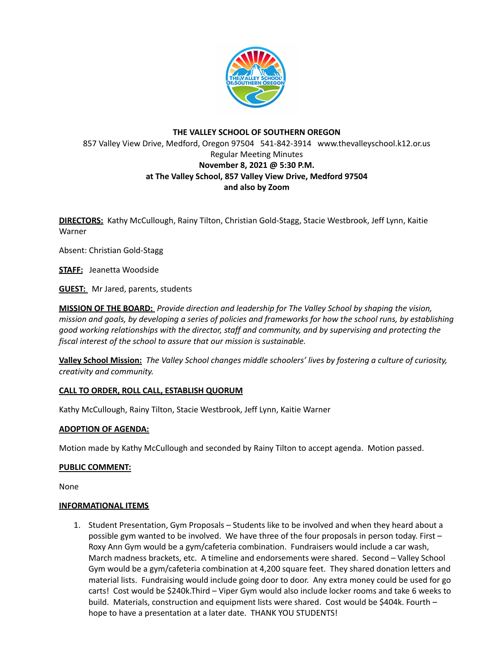

# **THE VALLEY SCHOOL OF SOUTHERN OREGON** 857 Valley View Drive, Medford, Oregon 97504 541-842-3914 www.thevalleyschool.k12.or.us Regular Meeting Minutes **November 8, 2021 @ 5:30 P.M. at The Valley School, 857 Valley View Drive, Medford 97504 and also by Zoom**

**DIRECTORS:** Kathy McCullough, Rainy Tilton, Christian Gold-Stagg, Stacie Westbrook, Jeff Lynn, Kaitie Warner

Absent: Christian Gold-Stagg

**STAFF:** Jeanetta Woodside

**GUEST:** Mr Jared, parents, students

**MISSION OF THE BOARD:** *Provide direction and leadership for The Valley School by shaping the vision,* mission and goals, by developing a series of policies and frameworks for how the school runs, by establishing *good working relationships with the director, staff and community, and by supervising and protecting the fiscal interest of the school to assure that our mission is sustainable.*

**Valley School Mission:** *The Valley School changes middle schoolers' lives by fostering a culture of curiosity, creativity and community.*

## **CALL TO ORDER, ROLL CALL, ESTABLISH QUORUM**

Kathy McCullough, Rainy Tilton, Stacie Westbrook, Jeff Lynn, Kaitie Warner

## **ADOPTION OF AGENDA:**

Motion made by Kathy McCullough and seconded by Rainy Tilton to accept agenda. Motion passed.

## **PUBLIC COMMENT:**

None

### **INFORMATIONAL ITEMS**

1. Student Presentation, Gym Proposals – Students like to be involved and when they heard about a possible gym wanted to be involved. We have three of the four proposals in person today. First – Roxy Ann Gym would be a gym/cafeteria combination. Fundraisers would include a car wash, March madness brackets, etc. A timeline and endorsements were shared. Second – Valley School Gym would be a gym/cafeteria combination at 4,200 square feet. They shared donation letters and material lists. Fundraising would include going door to door. Any extra money could be used for go carts! Cost would be \$240k.Third – Viper Gym would also include locker rooms and take 6 weeks to build. Materials, construction and equipment lists were shared. Cost would be \$404k. Fourth – hope to have a presentation at a later date. THANK YOU STUDENTS!